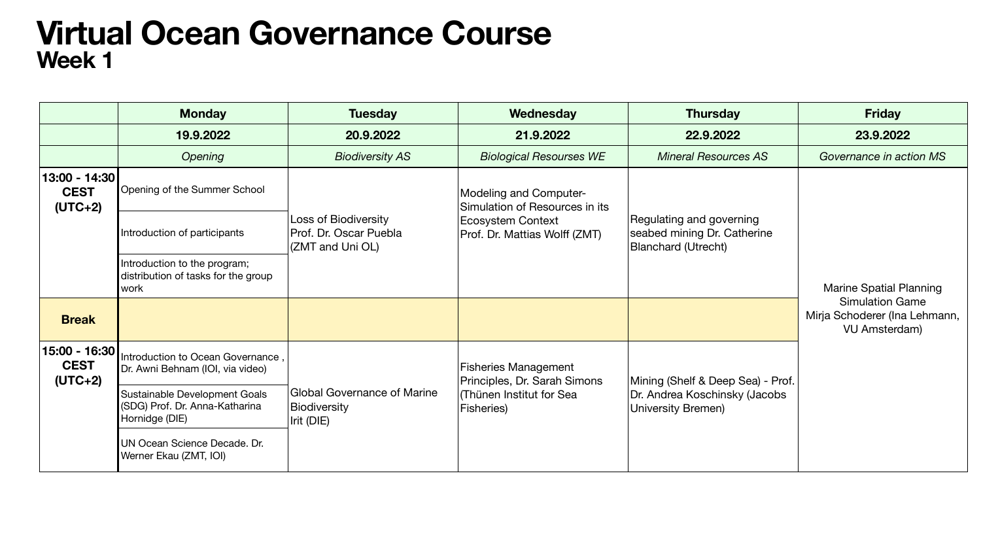

|                                            | <b>Monday</b>                                                                           | <b>Tuesday</b>                                                            | Wednesday                                                                                                             | <b>Thursday</b>                                                                                 | <b>Friday</b>                                                                                            |
|--------------------------------------------|-----------------------------------------------------------------------------------------|---------------------------------------------------------------------------|-----------------------------------------------------------------------------------------------------------------------|-------------------------------------------------------------------------------------------------|----------------------------------------------------------------------------------------------------------|
|                                            | 19.9.2022                                                                               | 20.9.2022                                                                 | 21.9.2022                                                                                                             | 22.9.2022                                                                                       | 23.9.2022                                                                                                |
|                                            | Opening                                                                                 | <b>Biodiversity AS</b>                                                    | <b>Biological Resourses WE</b>                                                                                        | <b>Mineral Resources AS</b>                                                                     | Governance in action MS                                                                                  |
| 13:00 - 14:30 <br><b>CEST</b><br>$(UTC+2)$ | Opening of the Summer School                                                            | <b>Loss of Biodiversity</b><br>Prof. Dr. Oscar Puebla<br>(ZMT and Uni OL) | <b>Modeling and Computer-</b><br>Simulation of Resources in its<br>Ecosystem Context<br>Prof. Dr. Mattias Wolff (ZMT) | Regulating and governing<br>seabed mining Dr. Catherine<br><b>Blanchard (Utrecht)</b>           | <b>Marine Spatial Planning</b><br><b>Simulation Game</b><br>Mirja Schoderer (Ina Lehmar<br>VU Amsterdam) |
|                                            | Introduction of participants                                                            |                                                                           |                                                                                                                       |                                                                                                 |                                                                                                          |
|                                            | Introduction to the program;<br>distribution of tasks for the group<br>  work           |                                                                           |                                                                                                                       |                                                                                                 |                                                                                                          |
| <b>Break</b>                               |                                                                                         |                                                                           |                                                                                                                       |                                                                                                 |                                                                                                          |
| <b>CEST</b><br>$(UTC+2)$                   | 15:00 - 16:30   Introduction to Ocean Governance, I<br>Dr. Awni Behnam (IOI, via video) | <b>Global Governance of Marine</b><br>Biodiversity<br>Irit (DIE)          | <b>Fisheries Management</b><br>Principles, Dr. Sarah Simons<br>(Thünen Institut for Sea<br>Fisheries)                 | Mining (Shelf & Deep Sea) - Prof.<br>Dr. Andrea Koschinsky (Jacobs<br><b>University Bremen)</b> |                                                                                                          |
|                                            | Sustainable Development Goals<br>(SDG) Prof. Dr. Anna-Katharina<br>Hornidge (DIE)       |                                                                           |                                                                                                                       |                                                                                                 |                                                                                                          |
|                                            | UN Ocean Science Decade. Dr.<br>Werner Ekau (ZMT, IOI)                                  |                                                                           |                                                                                                                       |                                                                                                 |                                                                                                          |

## **Virtual Ocean Governance Course Week 1**